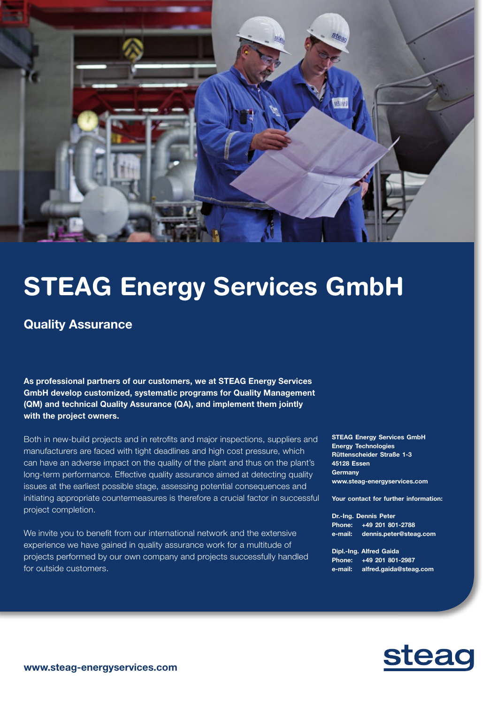

## STEAG Energy Services GmbH

## Quality Assurance

As professional partners of our customers, we at STEAG Energy Services GmbH develop customized, systematic programs for Quality Management (QM) and technical Quality Assurance (QA), and implement them jointly with the project owners.

Both in new-build projects and in retrofits and major inspections, suppliers and manufacturers are faced with tight deadlines and high cost pressure, which can have an adverse impact on the quality of the plant and thus on the plant's long-term performance. Effective quality assurance aimed at detecting quality issues at the earliest possible stage, assessing potential consequences and initiating appropriate countermeasures is therefore a crucial factor in successful project completion.

We invite you to benefit from our international network and the extensive experience we have gained in quality assurance work for a multitude of projects performed by our own company and projects successfully handled for outside customers.

STEAG Energy Services GmbH Energy Technologies Rüttenscheider Straße 1-3 45128 Essen **Germany** www.steag-energyservices.com

Your contact for further information:

Dr.-Ing. Dennis Peter Phone: +49 201 801-2788 e-mail: dennis.peter@steag.com

Dipl.-Ing. Alfred Gaida Phone: +49 201 801-2987 e-mail: alfred.gaida@steag.com